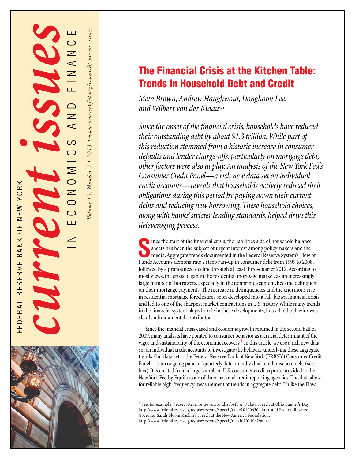

*Volume 19, Number 2* F *2013* F *www.newyorkfed.org/research/current\_issues*

# The Financial Crisis at the Kitchen Table: Trends in Household Debt and Credit

*Meta Brown, Andrew Haughwout, Donghoon Lee, and Wilbert van der Klaauw*

*Since the onset of the financial crisis, households have reduced their outstanding debt by about \$1.3 trillion. While part of this reduction stemmed from a historic increase in consumer defaults and lender charge-offs, particularly on mortgage debt, other factors were also at play. An analysis of the New York Fed's Consumer Credit Panel—a rich new data set on individual credit accounts—reveals that households actively reduced their obligations during this period by paying down their current debts and reducing new borrowing. These household choices, along with banks' stricter lending standards, helped drive this deleveraging process.*

Somether the start of the financial crisis, the liabilities side of household balance<br>
sheets has been the subject of urgent interest among policymakers and the<br>
media. Aggregate trends documented in the Federal Reserve Sy sheets has been the subject of urgent interest among policymakers and the media. Aggregate trends documented in the Federal Reserve System's Flow of Funds Accounts demonstrate a steep run-up in consumer debt from 1999 to 2008, followed by a pronounced decline through at least third-quarter 2012. According to most views, the crisis began in the residential mortgage market, as an increasingly large number of borrowers, especially in the nonprime segment, became delinquent on their mortgage payments. The increase in delinquencies and the enormous rise in residential mortgage foreclosures soon developed into a full-blown financial crisis and led to one of the sharpest market contractions in U.S. history. While many trends in the financial system played a role in these developments, household behavior was clearly a fundamental contributor.

Since the financial crisis eased and economic growth resumed in the second half of 2009, many analysts have pointed to consumer behavior as a crucial determinant of the vigor and sustainability of the economic recovery.**<sup>1</sup>** In this article, we use a rich new data set on individual credit accounts to investigate the behavior underlying these aggregate trends. Our data set—the Federal Reserve Bank of New York (FRBNY) Consumer Credit Panel—is an ongoing panel of quarterly data on individual and household debt (see box). It is created from a large sample of U.S. consumer credit reports provided to the New York Fed by Equifax, one of three national credit reporting agencies. The data allow for reliable high-frequency measurement of trends in aggregate debt. Unlike the Flow

**<sup>1</sup>**See, for example, Federal Reserve Governor Elizabeth A. Duke's speech at Ohio Banker's Day, <http://www.federalreserve.gov/newsevents/speech/duke20100630a.htm>, and Federal Reserve Governor Sarah Bloom Raskin's speech at the New America Foundation, <http://www.federalreserve.gov/newsevents/speech/raskin20110629a.htm>.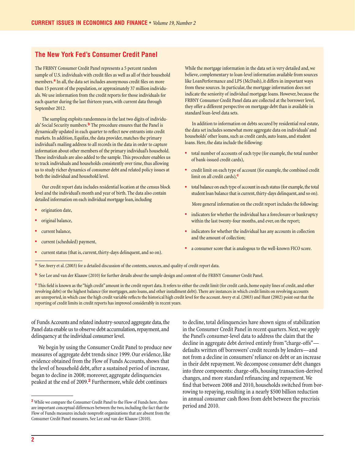# **The New York Fed's Consumer Credit Panel**

The FRBNY Consumer Credit Panel represents a 5 percent random sample of U.S. individuals with credit files as well as all of their household members.**<sup>a</sup>** In all, the data set includes anonymous credit files on more than 15 percent of the population, or approximately 37 million individuals. We use information from the credit reports for those individuals for each quarter during the last thirteen years, with current data through September 2012.

The sampling exploits randomness in the last two digits of individuals' Social Security numbers.**<sup>b</sup>** The procedure ensures that the Panel is dynamically updated in each quarter to reflect new entrants into credit markets. In addition, Equifax, the data provider, matches the primary individual's mailing address to all records in the data in order to capture information about other members of the primary individual's household. These individuals are also added to the sample. This procedure enables us to track individuals and households consistently over time, thus allowing us to study richer dynamics of consumer debt and related policy issues at both the individual and household level.

Our credit report data includes residential location at the census block level and the individual's month and year of birth. The data also contain detailed information on each individual mortgage loan, including

- origination date,
- original balance,
- current balance,
- current (scheduled) payment,
- current status (that is, current, thirty-days delinquent, and so on).

While the mortgage information in the data set is very detailed and, we believe, complementary to loan-level information available from sources like LoanPerformance and LPS (McDash), it differs in important ways from these sources. In particular, the mortgage information does not indicate the seniority of individual mortgage loans. However, because the FRBNY Consumer Credit Panel data are collected at the borrower level, they offer a different perspective on mortgage debt than is available in standard loan-level data sets.

In addition to information on debts secured by residential real estate, the data set includes somewhat more aggregate data on individuals' and households' other loans, such as credit cards, auto loans, and student loans. Here, the data include the following:

- total number of accounts of each type (for example, the total number of bank-issued credit cards),
- credit limit on each type of account (for example, the combined credit limit on all credit cards),**<sup>c</sup>**
- total balance on each type of account in each status (for example, the total student loan balance that is current, thirty-days delinquent, and so on).

More general information on the credit report includes the following:

- indicators for whether the individual has a foreclosure or bankruptcy within the last twenty-four months, and ever, on the report;
- indicators for whether the individual has any accounts in collection and the amount of collection;
- a consumer score that is analogous to the well-known FICO score.
- **a** See Avery et al. (2003) for a detailed discussion of the contents, sources, and quality of credit report data.
- **b** See Lee and van der Klaauw (2010) for further details about the sample design and content of the FRBNY Consumer Credit Panel.

**<sup>c</sup>**This field is known as the "high credit" amount in the credit report data. It refers to either the credit limit (for credit cards, home equity lines of credit, and other revolving debt) or the highest balance (for mortgages, auto loans, and other installment debt). There are instances in which credit limits on revolving accounts are unreported, in which case the high credit variable reflects the historical high credit level for the account. Avery et al. (2003) and Hunt (2002) point out that the reporting of credit limits in credit reports has improved considerably in recent years.

of Funds Accounts and related industry-sourced aggregate data, the Panel data enable us to observe debt accumulation, repayment, and delinquency at the individual consumer level.

We begin by using the Consumer Credit Panel to produce new measures of aggregate debt trends since 1999. Our evidence, like evidence obtained from the Flow of Funds Accounts, shows that the level of household debt, after a sustained period of increase, began to decline in 2008; moreover, aggregate delinquencies peaked at the end of 2009.**<sup>2</sup>** Furthermore, while debt continues

to decline, total delinquencies have shown signs of stabilization in the Consumer Credit Panel in recent quarters. Next, we apply the Panel's consumer-level data to address the claim that the decline in aggregate debt derived entirely from "charge-offs" defaults written off borrowers' credit records by lenders—and not from a decline in consumers' reliance on debt or an increase in their debt repayment. We decompose consumer debt changes into three components: charge-offs, housing transaction-derived changes, and more standard refinancing and repayment. We find that between 2008 and 2010, households switched from borrowing to repaying, resulting in a nearly \$500 billion reduction in annual consumer cash flows from debt between the precrisis period and 2010.

**<sup>2</sup>**While we compare the Consumer Credit Panel to the Flow of Funds here, there are important conceptual differences between the two, including the fact that the Flow of Funds measures include nonprofit organizations that are absent from the Consumer Credit Panel measures. See Lee and van der Klaauw (2010).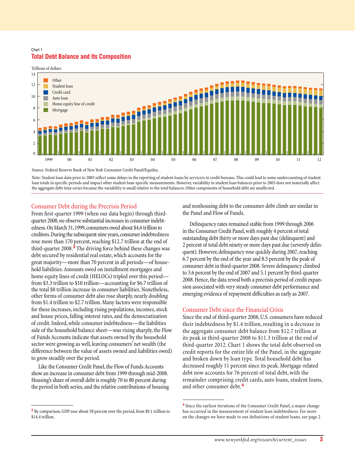## Chart 1 **Total Debt Balance and Its Composition**



Source: Federal Reserve Bank of New York Consumer Credit Panel/Equifax.

Note: Student loan data prior to 2003 reflect some delays in the reporting of student loans by servicers to credit bureaus. This could lead to some undercounting of student loan totals in specific periods and impact other student loan-specific measurements.However, variability in student loan balances prior to 2003 does not materially affect the aggregate debt time series because the variability is small relativeto the total balances. Other components of household debt are unaffected.

# Consumer Debt during the Precrisis Period

From first-quarter 1999 (when our data begin) through thirdquarter 2008, we observe substantial increases in consumer indebtedness. On March 31, 1999, consumers owed about \$4.6 trillion to creditors. During the subsequent nine years, consumer indebtedness rose more than 170 percent, reaching \$12.7 trillion at the end of third-quarter 2008.**3** The driving force behind these changes was debt secured by residential real estate, which accounts for the great majority—more than 70 percent in all periods—of household liabilities. Amounts owed on installment mortgages and home equity lines of credit (HELOCs) tripled over this period from \$3.3 trillion to \$10 trillion—accounting for \$6.7 trillion of the total \$8 trillion increase in consumer liabilities. Nonetheless, other forms of consumer debt also rose sharply, nearly doubling from \$1.4 trillion to \$2.7 trillion. Many factors were responsible for these increases, including rising populations, incomes, stock and house prices, falling interest rates, and the democratization of credit. Indeed, while consumer indebtedness—the liabilities side of the household balance sheet—was rising sharply, the Flow of Funds Accounts indicate that assets owned by the household sector were growing as well, leaving consumers' net wealth (the difference between the value of assets owned and liabilities owed) to grow steadily over the period.

Like the Consumer Credit Panel, the Flow of Funds Accounts show an increase in consumer debt from 1999 through mid-2008. Housing's share of overall debt is roughly 70 to 80 percent during the period in both series, and the relative contributions of housing and nonhousing debt to the consumer debt climb are similar in the Panel and Flow of Funds.

Delinquency rates remained stable from 1999 through 2006 in the Consumer Credit Panel, with roughly 4 percent of total outstanding debt thirty or more days past due (delinquent) and 2 percent of total debt ninety or more days past due (severely delinquent). However, delinquency rose quickly during 2007, reaching 6.7 percent by the end of the year and 8.5 percent by the peak of consumer debt in third-quarter 2008. Severe delinquency climbed to 3.6 percent by the end of 2007 and 5.1 percent by third-quarter 2008. Hence, the data reveal both a precrisis period of credit expansion associated with very steady consumer debt performance and emerging evidence of repayment difficulties as early as 2007.

# Consumer Debt since the Financial Crisis

Since the end of third-quarter 2008, U.S. consumers have reduced their indebtedness by \$1.4 trillion, resulting in a decrease in the aggregate consumer debt balance from \$12.7 trillion at its peak in third-quarter 2008 to \$11.3 trillion at the end of third-quarter 2012. Chart 1 shows the total debt observed on credit reports for the entire life of the Panel, in the aggregate and broken down by loan type. Total household debt has decreased roughly 11 percent since its peak. Mortgage-related debt now accounts for 76 percent of total debt, with the remainder comprising credit cards, auto loans, student loans, and other consumer debt.**<sup>4</sup>**

**<sup>3</sup>**By comparison, GDP rose about 58 percent over the period, from \$9.1 trillion to \$14.4 trillion.

**<sup>4</sup>**Since the earliest iterations of the Consumer Credit Panel, a major change has occurred in the measurement of student loan indebtedness. For more on the changes we have made to our definitions of student loans, see page 2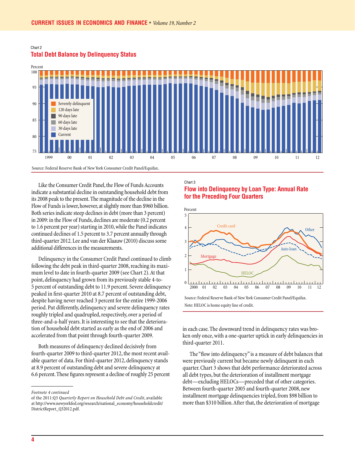

# **Total Debt Balance by Delinquency Status**

Chart 2

Like the Consumer Credit Panel, the Flow of Funds Accounts indicate a substantial decline in outstanding household debt from its 2008 peak to the present. The magnitude of the decline in the Flow of Funds is lower, however, at slightly more than \$960 billion. Both series indicate steep declines in debt (more than 3 percent) in 2009: in the Flow of Funds, declines are moderate (0.2 percent to 1.6 percent per year) starting in 2010, while the Panel indicates continued declines of 1.5 percent to 3.7 percent annually through third-quarter 2012. Lee and van der Klaauw (2010) discuss some additional differences in the measurements.

Delinquency in the Consumer Credit Panel continued to climb following the debt peak in third-quarter 2008, reaching its maximum level to date in fourth-quarter 2009 (see Chart 2). At that point, delinquency had grown from its previously stable 4-to-5 percent of outstanding debt to 11.9 percent. Severe delinquency peaked in first-quarter 2010 at 8.7 percent of outstanding debt, despite having never reached 3 percent for the entire 1999-2006 period. Put differently, delinquency and severe delinquency rates roughly tripled and quadrupled, respectively, over a period of three-and-a-half years. It is interesting to see that the deterioration of household debt started as early as the end of 2006 and accelerated from that point through fourth-quarter 2009.

Both measures of delinquency declined decisively from fourth-quarter 2009 to third-quarter 2012, the most recent available quarter of data. For third-quarter 2012, delinquency stands at 8.9 percent of outstanding debt and severe delinquency at 6.6 percent. These figures represent a decline of roughly 25 percent

# Chart 3 **Flow into Delinquency by Loan Type: Annual Rate for the Preceding Four Quarters**



in each case. The downward trend in delinquency rates was broken only once, with a one-quarter uptick in early delinquencies in third-quarter 2011.

The "flow into delinquency" is a measure of debt balances that were previously current but became newly delinquent in each quarter. Chart 3 shows that debt performance deteriorated across all debt types, but the deterioration of installment mortgage debt—excluding HELOCs—preceded that of other categories. Between fourth-quarter 2005 and fourth-quarter 2008, new installment mortgage delinquencies tripled, from \$98 billion to more than \$310 billion. After that, the deterioration of mortgage

*Footnote 4 continued*

of the 2011:Q3 *Quarterly Report on Household Debt and Credit*, available at [http://www.newyorkfed.org/research/national\\_economy/householdcredit/](http://www.newyorkfed.org/research/national_economy/householdcredit/DistrictReport_Q32012.pdf) [DistrictReport\\_Q32012.pdf.](http://www.newyorkfed.org/research/national_economy/householdcredit/DistrictReport_Q32012.pdf)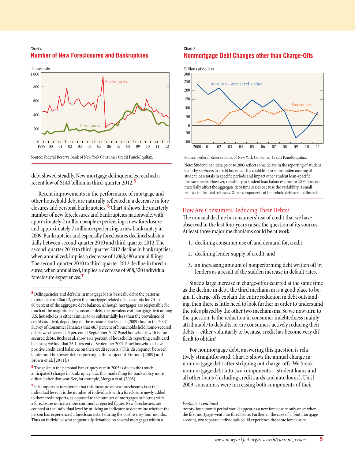#### Chart 4 **Number of New Foreclosures and Bankruptcies**



debt slowed steadily. New mortgage delinquencies reached a recent low of \$140 billion in third-quarter 2012.**<sup>5</sup>**

Recent improvements in the performance of mortgage and other household debt are naturally reflected in a decrease in foreclosures and personal bankruptcies. **6** Chart 4 shows the quarterly number of new foreclosures and bankruptcies nationwide, with approximately 2 million people experiencing a new foreclosure and approximately 2 million experiencing a new bankruptcy in 2009. Bankruptcies and especially foreclosures declined substantially between second-quarter 2010 and third-quarter 2012. The second-quarter 2010 to third-quarter 2012 decline in bankruptcies, when annualized, implies a decrease of 1,068,480 annual filings. The second-quarter 2010 to third-quarter 2012 decline in foreclosures, when annualized, implies a decrease of 968,320 individual foreclosure experiences.**<sup>7</sup>**

**<sup>6</sup>**The spike in the personal bankruptcy rate in 2005 is due to the (much anticipated) change in bankruptcy laws that made filing for bankruptcy more difficult after that year. See, for example, Morgan et al. (2008).

# Chart 5 **Nonmortgage Debt Changes other than Charge-Offs**



Source: Federal Reserve Bank of New York Consumer Credit Panel/Equifax.

Note: Student loan data prior to 2003 reflect some delays in the reporting of student loans by servicers to credit bureaus. This could lead to some undercounting of student loan totals in specific periods and impact other student loan-specific measurements.However, variability in student loan balances prior to 2003 does not materially affect the aggregate debt time series because the variability is small relative to the total balances. Other components of household debt are unaffected.

# How Are Consumers Reducing Their Debts?

The unusual decline in consumers' use of credit that we have observed in the last four years raises the question of its sources. At least three major mechanisms could be at work:

- 1. declining consumer use of, and demand for, credit;
- 2. declining lender supply of credit; and
- 3. an increasing amount of nonperforming debt written off by lenders as a result of the sudden increase in default rates.

Since a large increase in charge-offs occurred at the same time as the decline in debt, the third mechanism is a good place to begin. If charge-offs explain the entire reduction in debt outstanding, then there is little need to look further in order to understand the roles played by the other two mechanisms. So we now turn to the question: Is the reduction in consumer indebtedness mainly attributable to defaults, or are consumers actively reducing their debts—either voluntarily or because credit has become very difficult to obtain?

For nonmortgage debt, answering this question is relatively straightforward. Chart 5 shows the annual change in nonmortgage debt after stripping out charge-offs. We break nonmortgage debt into two components—student loans and all other loans (including credit cards and auto loans). Until 2009, consumers were increasing both components of their

**<sup>5</sup>**Delinquencies and defaults in mortgage loans basically drive the patterns in total debt in Chart 2, given that mortgage-related debt accounts for 70-to-80 percent of the aggregate debt balance. Although mortgages are responsible for much of the magnitude of consumer debt, the prevalence of mortgage debt among U.S. households is either similar to or substantially less than the prevalence of credit card debt, depending on the measure. Bucks et al. (2009) find in the 2007 Survey of Consumer Finances that 48.7 percent of households hold home-secured debts; we observe 42.3 percent of September 2007 Panel households with homesecured debts. Bucks et al. show 46.1 percent of households reporting credit card balances; we find that 76.1 percent of September 2007 Panel households have positive credit card balances on their credit reports. (This discrepancy between lender and borrower debt reporting is the subject of Zinman [2009] and Brown et al. [2011].)

**<sup>7</sup>**It is important to reiterate that this measure of new foreclosures is at the individual level. It is the number of individuals with a foreclosure newly added to their credit reports, as opposed to the number of mortgages or houses with a foreclosure notice, a more commonly reported figure. New foreclosures are counted at the individual level by utilizing an indicator to determine whether the person has experienced a foreclosure start during the past twenty-four months. Thus an individual who sequentially defaulted on several mortgages within a

*Footnote 7 continued*

twenty-four-month period would appear as a new foreclosure only once: when the first mortgage went into foreclosure. Further, in the case of a joint mortgage account, two separate individuals could experience the same foreclosure.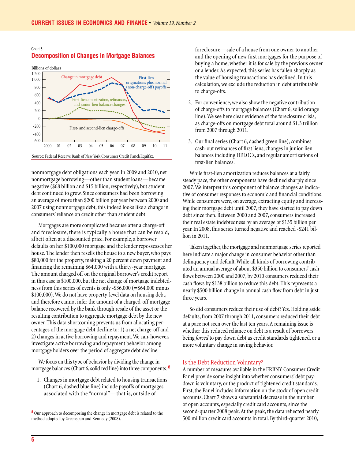# Chart 6



#### **Decomposition of Changes in Mortgage Balances**

nonmortgage debt obligations each year. In 2009 and 2010, net nonmortgage borrowing—other than student loans—became negative (\$68 billion and \$15 billion, respectively), but student debt continued to grow. Since consumers had been borrowing an average of more than \$200 billion per year between 2000 and 2007 using nonmortgage debt, this indeed looks like a change in consumers' reliance on credit other than student debt.

Mortgages are more complicated because after a charge-off and foreclosure, there is typically a house that can be resold, albeit often at a discounted price. For example, a borrower defaults on her \$100,000 mortgage and the lender repossesses her house. The lender then resells the house to a new buyer, who pays \$80,000 for the property, making a 20 percent down payment and financing the remaining \$64,000 with a thirty-year mortgage. The amount charged off on the original borrower's credit report in this case is \$100,000, but the net change of mortgage indebtedness from this series of events is only -\$36,000 (=\$64,000 minus \$100,000). We do not have property-level data on housing debt, and therefore cannot infer the amount of a charged-off mortgage balance recovered by the bank through resale of the asset or the resulting contribution to aggregate mortgage debt by the new owner. This data shortcoming prevents us from allocating percentages of the mortgage debt decline to: 1) a net charge-off and 2) changes in active borrowing and repayment. We can, however, investigate active borrowing and repayment behavior among mortgage holders over the period of aggregate debt decline.

We focus on this type of behavior by dividing the change in mortgage balances (Chart 6, solid red line) into three components. **<sup>8</sup>**

1. Changes in mortgage debt related to housing transactions (Chart 6, dashed blue line) include payoffs of mortgages associated with the "normal"—that is, outside of

foreclosure—sale of a house from one owner to another and the opening of new first mortgages for the purpose of buying a home, whether it is for sale by the previous owner or a lender. As expected, this series has fallen sharply as the value of housing transactions has declined. In this calculation, we exclude the reduction in debt attributable to charge-offs.

- 2. For convenience, we also show the negative contribution of charge-offs to mortgage balances (Chart 6, solid orange line). We see here clear evidence of the foreclosure crisis, as charge-offs on mortgage debt total around \$1.3 trillion from 2007 through 2011.
- 3. Our final series (Chart 6, dashed green line), combines cash-out refinances of first liens, changes in junior-lien balances including HELOCs, and regular amortizations of first-lien balances.

While first-lien amortization reduces balances at a fairly steady pace, the other components have declined sharply since 2007. We interpret this component of balance changes as indicative of consumer responses to economic and financial conditions. While consumers were, on average, extracting equity and increasing their mortgage debt until 2007, they have started to pay down debt since then. Between 2000 and 2007, consumers increased their real estate indebtedness by an average of \$135 billion per year. In 2008, this series turned negative and reached -\$241 billion in 2011.

Taken together, the mortgage and nonmortgage series reported here indicate a major change in consumer behavior other than delinquency and default. While all kinds of borrowing contributed an annual average of about \$350 billion to consumers' cash flows between 2000 and 2007, by 2010 consumers reduced their cash flows by \$138 billion to reduce this debt. This represents a nearly \$500 billion change in annual cash flow from debt in just three years.

So did consumers reduce their use of debt? Yes. Holding aside defaults, from 2007 through 2011, consumers reduced their debt at a pace not seen over the last ten years. A remaining issue is whether this reduced reliance on debt is a result of borrowers being *forced* to pay down debt as credit standards tightened, or a more voluntary change in saving behavior.

#### Is the Debt Reduction Voluntary?

A number of measures available in the FRBNY Consumer Credit Panel provide some insight into whether consumers' debt paydown is voluntary, or the product of tightened credit standards. First, the Panel includes information on the stock of open credit accounts. Chart 7 shows a substantial decrease in the number of open accounts, especially credit card accounts, since the second-quarter 2008 peak. At the peak, the data reflected nearly 500 million credit card accounts in total. By third-quarter 2010,

**<sup>8</sup>**Our approach to decomposing the change in mortgage debt is related to the method adopted by Greenspan and Kennedy (2008).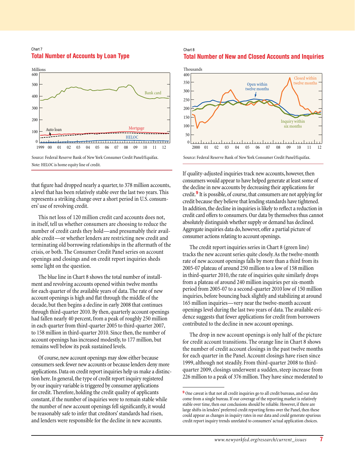#### Chart 7 **Total Number of Accounts by Loan Type**



that figure had dropped nearly a quarter, to 378 million accounts, a level that has been relatively stable over the last two years. This represents a striking change over a short period in U.S. consumers' use of revolving credit.

This net loss of 120 million credit card accounts does not, in itself, tell us whether consumers are choosing to reduce the number of credit cards they hold—and presumably their available credit—or whether lenders are restricting new credit and terminating old borrowing relationships in the aftermath of the crisis, or both. The Consumer Credit Panel series on account openings and closings and on credit report inquiries sheds some light on the question.

The blue line in Chart 8 shows the total number of installment and revolving accounts opened within twelve months for each quarter of the available years of data. The rate of new account openings is high and flat through the middle of the decade, but then begins a decline in early 2008 that continues through third-quarter 2010. By then, quarterly account openings had fallen nearly 40 percent, from a peak of roughly 250 million in each quarter from third-quarter 2005 to third-quarter 2007, to 158 million in third-quarter 2010. Since then, the number of account openings has increased modestly, to 177 million, but remains well below its peak sustained levels.

Of course, new account openings may slow either because consumers seek fewer new accounts or because lenders deny more applications. Data on credit report inquiries help us make a distinction here. In general, the type of credit report inquiry registered by our inquiry variable is triggered by consumer applications for credit. Therefore, holding the credit quality of applicants constant, if the number of inquiries were to remain stable while the number of new account openings fell significantly, it would be reasonably safe to infer that creditors' standards had risen, and lenders were responsible for the decline in new accounts.

# Chart 8 **Total Number of New and Closed Accounts and Inquiries**



If quality-adjusted inquiries track new accounts, however, then consumers would appear to have helped generate at least some of the decline in new accounts by decreasing their applications for credit.**9** It is possible, of course, that consumers are not applying for credit because they believe that lending standards have tightened. In addition, the decline in inquiries is likely to reflect a reduction in credit card offers to consumers. Our data by themselves thus cannot absolutely distinguish whether supply or demand has declined. Aggregate inquiries data do, however, offer a partial picture of consumer actions relating to account openings.

The credit report inquiries series in Chart 8 (green line) tracks the new account series quite closely. As the twelve-month rate of new account openings falls by more than a third from its 2005-07 plateau of around 250 million to a low of 158 million in third-quarter 2010, the rate of inquiries quite similarly drops from a plateau of around 240 million inquiries per six-month period from 2005-07 to a second-quarter 2010 low of 150 million inquiries, before bouncing back slightly and stabilizing at around 165 million inquiries—very near the twelve-month account openings level during the last two years of data. The available evidence suggests that fewer applications for credit from borrowers contributed to the decline in new account openings.

The drop in new account openings is only half of the picture for credit account transitions. The orange line in Chart 8 shows the number of credit account closings in the past twelve months for each quarter in the Panel. Account closings have risen since 1999, although not steadily. From third-quarter 2008 to thirdquarter 2009, closings underwent a sudden, steep increase from 226 million to a peak of 376 million. They have since moderated to

<sup>&</sup>lt;sup>9</sup> One caveat is that not all credit inquiries go to all credit bureaus, and our data come from a single bureau. If our coverage of the reporting market is relatively stable over time, then our conclusions should be reliable. However, if there are large shifts in lenders' preferred credit reporting firms over the Panel, then these could appear as changes in inquiry rates in our data and could generate spurious credit report inquiry trends unrelated to consumers' actual application choices.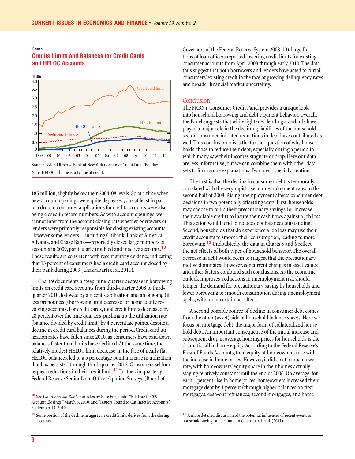# Chart 9 **Credits Limits and Balances for Credit Cards and HELOC Accounts**



185 million, slightly below their 2004-08 levels. So at a time when new account openings were quite depressed, due at least in part to a drop in consumer applications for credit, accounts were also being closed in record numbers. As with account openings, we cannot infer from the account closing rate whether borrowers or lenders were primarily responsible for closing existing accounts. However some lenders—including Citibank, Bank of America, Advanta, and Chase Bank—reportedly closed large numbers of accounts in 2009, particularly troubled and inactive accounts.**<sup>10</sup>** These results are consistent with recent survey evidence indicating that 13 percent of consumers had a credit card account closed by their bank during 2009 (Chakrabarti et al. 2011).

Chart 9 documents a steep, nine-quarter decrease in borrowing limits on credit card accounts from third-quarter 2008 to thirdquarter 2010, followed by a recent stabilization and an ongoing (if less pronounced) borrowing limit decrease for home equity revolving accounts. For credit cards, total credit limits decreased by 28 percent over the nine quarters, pushing up the utilization rate (balance divided by credit limit) by 4 percentage points, despite a decline in credit card balances during the period. Credit card utilization rates have fallen since 2010, as consumers have paid down balances faster than limits have declined. At the same time, the relatively modest HELOC limit decrease, in the face of nearly flat HELOC balances, led to a 5 percentage point increase in utilization that has persisted through third-quarter 2012. Consumers seldom request reductions in their credit limit.**11** Further, in quarterly Federal Reserve Senior Loan Officer Opinion Surveys (Board of

Governors of the Federal Reserve System 2008-10), large fractions of loan officers reported lowering credit limits for existing consumer accounts from April 2008 through early 2010. The data thus suggest that both borrowers and lenders have acted to curtail consumers' existing credit in the face of growing delinquency rates and broader financial market uncertainty.

#### Conclusion

The FRBNY Consumer Credit Panel provides a unique look into household borrowing and debt payment behavior. Overall, the Panel suggests that while tightened lending standards have played a major role in the declining liabilities of the household sector, consumer-initiated reductions in debt have contributed as well. This conclusion raises the further question of why households chose to reduce their debt, especially during a period in which many saw their incomes stagnate or drop. Here our data are less informative, but we can combine them with other data sets to form some explanations. Two merit special attention.

The first is that the decline in consumer debt is temporally correlated with the very rapid rise in unemployment rates in the second half of 2008. Rising unemployment affects consumer debt decisions in two potentially offsetting ways. First, households may choose to build their precautionary savings (or increase their available credit) to insure their cash flows against a job loss. This action would tend to reduce debt balances outstanding. Second, households that do experience a job loss may use their credit accounts to smooth their consumption, leading to more borrowing.**12** Undoubtedly, the data in Charts 5 and 6 reflect the net effects of both types of household behavior. The overall decrease in debt would seem to suggest that the precautionary motive dominates. However, concurrent changes in asset values and other factors confound such conclusions. As the economic outlook improves, reductions in unemployment risk should temper the demand for precautionary saving by households and lower borrowing to smooth consumption during unemployment spells, with an uncertain net effect.

A second possible source of decline in consumer debt comes from the other (asset) side of household balance sheets. Here we focus on mortgage debt, the major form of collateralized household debt. An important consequence of the initial increase and subsequent drop in average housing prices for households is the dramatic fall in home equity. According to the Federal Reserve's Flow of Funds Accounts, total equity of homeowners rose with the increase in home prices. However, it did so at a much lower rate, with homeowners' equity share in their homes actually staying relatively constant until the end of 2006. On average, for each 1 percent rise in home prices, homeowners increased their mortgage debt by 1 percent (through higher balances on first mortgages, cash-out refinances, second mortgages, and home

**<sup>10</sup>**See two *American Banker* articles by Kate Fitzgerald: "Bill Due for '09 Account Closings," March 8, 2010, and "Issuers Found to Cut Inactive Accounts," September 14, 2010.

**<sup>11</sup>**Some portion of the decline in aggregate credit limits derives from the closing of accounts.

**<sup>12</sup>**A more detailed discussion of the potential influences of recent events on household saving can be found in Chakrabarti et al. (2011).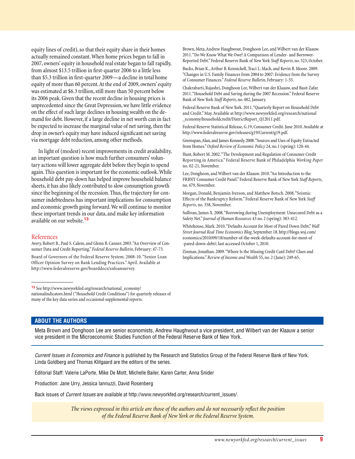equity lines of credit), so that their equity share in their homes actually remained constant. When home prices began to fall in 2007, owners' equity in household real estate began to fall rapidly, from almost \$13.5 trillion in first-quarter 2006 to a little less than \$5.3 trillion in first-quarter 2009—a decline in total home equity of more than 60 percent. At the end of 2009, owners' equity was estimated at \$6.3 trillion, still more than 50 percent below its 2006 peak. Given that the recent decline in housing prices is unprecedented since the Great Depression, we have little evidence on the effect of such large declines in housing wealth on the demand for debt. However, if a large decline in net worth can in fact be expected to increase the marginal value of net saving, then the drop in owner's equity may have induced significant net saving via mortgage debt reduction, among other methods.

In light of (modest) recent improvements in credit availability, an important question is how much further consumers' voluntary actions will lower aggregate debt before they begin to spend again. This question is important for the economic outlook. While household debt pay-down has helped improve household balance sheets, it has also likely contributed to slow consumption growth since the beginning of the recession. Thus, the trajectory for consumer indebtedness has important implications for consumption and economic growth going forward. We will continue to monitor these important trends in our data, and make key information available on our website.**<sup>13</sup>**

#### References

Avery, Robert B., Paul S. Calem, and Glenn B. Canner. 2003. "An Overview of Consumer Data and Credit Reporting." *Federal Reserve Bulletin*, February: 47-73.

Board of Governors of the Federal Reserve System. 2008-10. "Senior Loan Officer Opinion Survey on Bank Lending Practices." April. Available at <http://www.federalreserve.gov/boarddocs/snloansurvey>.

**<sup>13</sup>**See [http://www.newyorkfed.org/research/national\\_economy/](http://www.newyorkfed.org/research/national_economy/nationalindicators.html) [nationalindicators.html](http://www.newyorkfed.org/research/national_economy/nationalindicators.html) ("Household Credit Conditions") for quarterly releases of many of the key data series and occasional supplemental reports.

Brown, Meta, Andrew Haughwout, Donghoon Lee, and Wilbert van der Klaauw. 2011. "Do We Know What We Owe? A Comparison of Lender- and Borrower-Reported Debt." Federal Reserve Bank of New York *Staff Reports*, no. 523, October.

Bucks, Brian K., Arthur B. Kennickell, Traci L. Mach, and Kevin B. Moore. 2009. "Changes in U.S. Family Finances from 2004 to 2007: Evidence from the Survey of Consumer Finances." *Federal Reserve Bulletin*, February: 1-55.

Chakrabarti, Rajashri, Donghoon Lee, Wilbert van der Klaauw, and Basit Zafar. 2011. "Household Debt and Saving during the 2007 Recession." Federal Reserve Bank of New York *Staff Reports*, no. 482, January.

Federal Reserve Bank of New York. 2011. "Quarterly Report on Household Debt and Credit." May. Available at [http://www.newyorkfed.org/research/national](http://www.newyorkfed.org/research/national
_economy/householdcredit/DistrictReport_Q12011.pdf) [\\_economy/householdcredit/DistrictReport\\_Q12011.pdf.](http://www.newyorkfed.org/research/national
_economy/householdcredit/DistrictReport_Q12011.pdf)

Federal Reserve Statistical Release, G.19, Consumer Credit. June 2010. Available at [http://www.federalreserve.gov/releases/g19/Current/g19.pdf](http://www.newyorkfed.org/research/national
_economy/householdcredit/DistrictReport_Q12011.pdf).

Greenspan, Alan, and James Kennedy. 2008. "Sources and Uses of Equity Extracted from Homes." *Oxford Review of Economic Policy* 24, no.1 (spring): 120-44.

Hunt, Robert M. 2002. "The Development and Regulation of Consumer Credit Reporting in America." Federal Reserve Bank of Philadelphia *Working Paper* no. 02-21, November.

Lee, Donghoon, and Wilbert van der Klaauw. 2010. "An Introduction to the FRBNY Consumer Credit Panel." Federal Reserve Bank of New York *Staff Reports*, no. 479, November.

Morgan, Donald, Benjamin Iverson, and Matthew Botsch. 2008. "Seismic Effects of the Bankruptcy Reform." Federal Reserve Bank of New York *Staff Reports*, no. 358, November.

Sullivan, James X. 2008. "Borrowing during Unemployment: Unsecured Debt as a Safety Net." *Journal of Human Resources* 43 no. 2 (spring): 383-412.

Whitehouse, Mark. 2010. "Defaults Account for Most of Pared Down Debt," *Wall Street Journal Real Time Economics Blog*, September 18. [http://blogs.wsj.com/](http://blogs.wsj.com/economics/2010/09/18/number-of-the-week-defaults-account-for-most-of
-pared-down-debt/) [economics/2010/09/18/number-of-the-week-defaults-account-for-most-of](http://blogs.wsj.com/economics/2010/09/18/number-of-the-week-defaults-account-for-most-of
-pared-down-debt/) [-pared-down-debt/;](http://blogs.wsj.com/economics/2010/09/18/number-of-the-week-defaults-account-for-most-of
-pared-down-debt/) last accessed October 1, 2010.

Zinman, Jonathan. 2009. "Where Is the Missing Credit Card Debt? Clues and Implications." *Review of Income and Wealth* 55, no. 2 (June): 249-65.

# **About the Authors**

Meta Brown and Donghoon Lee are senior economists, Andrew Haughwout a vice president, and Wilbert van der Klaauw a senior vice president in the Microeconomic Studies Function of the Federal Reserve Bank of New York.

*Current Issues in Economics and Finance* is published by the Research and Statistics Group of the Federal Reserve Bank of New York. Linda Goldberg and Thomas Klitgaard are the editors of the series.

Editorial Staff: Valerie LaPorte, Mike De Mott, Michelle Bailer, Karen Carter, Anna Snider

Production: Jane Urry, Jessica Iannuzzi, David Rosenberg

Back issues of *Current Issues* are available at http://www.newyorkfed.org/research/current\_issues/.

*The views expressed in this article are those of the authors and do not necessarily reflect the position of the Federal Reserve Bank of New York or the Federal Reserve System.*